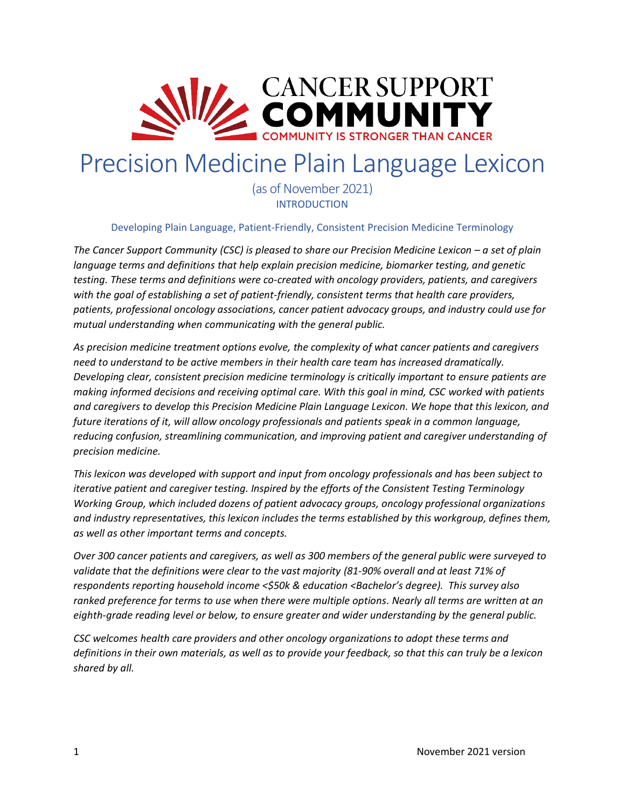

# Precision Medicine Plain Language Lexicon

(as of November 2021) INTRODUCTION

Developing Plain Language, Patient-Friendly, Consistent Precision Medicine Terminology

*The Cancer Support Community (CSC) is pleased to share our Precision Medicine Lexicon – a set of plain language terms and definitions that help explain precision medicine, biomarker testing, and genetic testing. These terms and definitions were co-created with oncology providers, patients, and caregivers with the goal of establishing a set of patient-friendly, consistent terms that health care providers, patients, professional oncology associations, cancer patient advocacy groups, and industry could use for mutual understanding when communicating with the general public.* 

*As precision medicine treatment options evolve, the complexity of what cancer patients and caregivers need to understand to be active members in their health care team has increased dramatically. Developing clear, consistent precision medicine terminology is critically important to ensure patients are making informed decisions and receiving optimal care. With this goal in mind, CSC worked with patients and caregivers to develop this Precision Medicine Plain Language Lexicon. We hope that this lexicon, and future iterations of it, will allow oncology professionals and patients speak in a common language, reducing confusion, streamlining communication, and improving patient and caregiver understanding of precision medicine.* 

*This lexicon was developed with support and input from oncology professionals and has been subject to iterative patient and caregiver testing. Inspired by the efforts of the Consistent Testing Terminology Working Group, which included dozens of patient advocacy groups, oncology professional organizations and industry representatives, this lexicon includes the terms established by this workgroup, defines them, as well as other important terms and concepts.* 

*Over 300 cancer patients and caregivers, as well as 300 members of the general public were surveyed to validate that the definitions were clear to the vast majority (81-90% overall and at least 71% of respondents reporting household income <\$50k & education <Bachelor's degree). This survey also ranked preference for terms to use when there were multiple options. Nearly all terms are written at an eighth-grade reading level or below, to ensure greater and wider understanding by the general public.* 

*CSC welcomes health care providers and other oncology organizations to adopt these terms and definitions in their own materials, as well as to provide your feedback, so that this can truly be a lexicon shared by all.*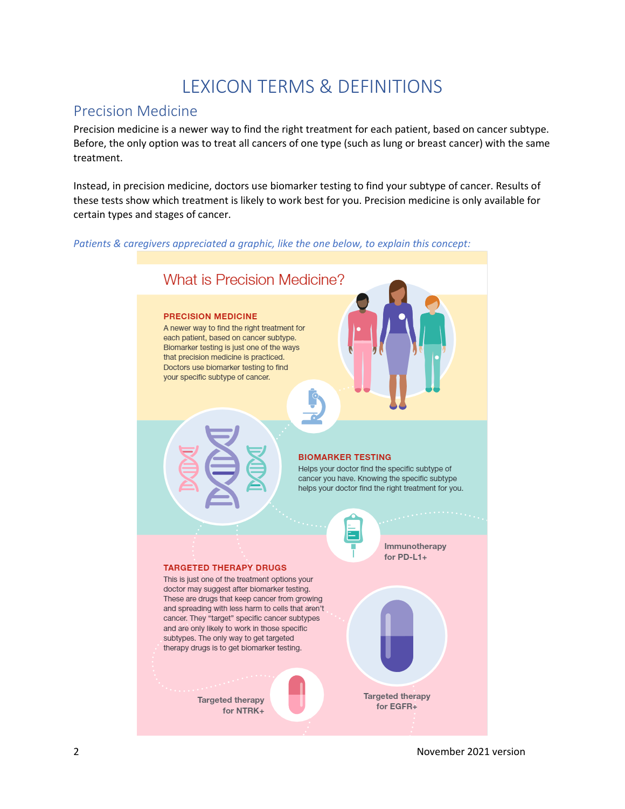# LEXICON TERMS & DEFINITIONS

# Precision Medicine

Precision medicine is a newer way to find the right treatment for each patient, based on cancer subtype. Before, the only option was to treat all cancers of one type (such as lung or breast cancer) with the same treatment.

Instead, in precision medicine, doctors use biomarker testing to find your subtype of cancer. Results of these tests show which treatment is likely to work best for you. Precision medicine is only available for certain types and stages of cancer.

*Patients & caregivers appreciated a graphic, like the one below, to explain this concept:*



2 November 2021 version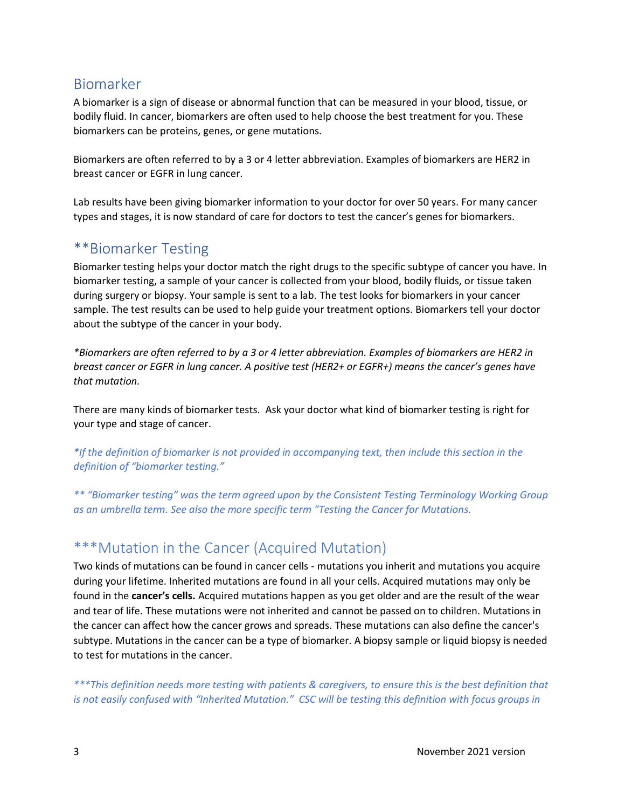# Biomarker

A biomarker is a sign of disease or abnormal function that can be measured in your blood, tissue, or bodily fluid. In cancer, biomarkers are often used to help choose the best treatment for you. These biomarkers can be proteins, genes, or gene mutations.

Biomarkers are often referred to by a 3 or 4 letter abbreviation. Examples of biomarkers are HER2 in breast cancer or EGFR in lung cancer.

Lab results have been giving biomarker information to your doctor for over 50 years. For many cancer types and stages, it is now standard of care for doctors to test the cancer's genes for biomarkers.

### \*\*Biomarker Testing

Biomarker testing helps your doctor match the right drugs to the specific subtype of cancer you have. In biomarker testing, a sample of your cancer is collected from your blood, bodily fluids, or tissue taken during surgery or biopsy. Your sample is sent to a lab. The test looks for biomarkers in your cancer sample. The test results can be used to help guide your treatment options. Biomarkers tell your doctor about the subtype of the cancer in your body.

*\*Biomarkers are often referred to by a 3 or 4 letter abbreviation. Examples of biomarkers are HER2 in breast cancer or EGFR in lung cancer. A positive test (HER2+ or EGFR+) means the cancer's genes have that mutation.*

There are many kinds of biomarker tests. Ask your doctor what kind of biomarker testing is right for your type and stage of cancer.

*\*If the definition of biomarker is not provided in accompanying text, then include this section in the definition of "biomarker testing."*

*\*\* "Biomarker testing" was the term agreed upon by the Consistent Testing Terminology Working Group as an umbrella term. See also the more specific term "Testing the Cancer for Mutations.*

# \*\*\*Mutation in the Cancer (Acquired Mutation)

Two kinds of mutations can be found in cancer cells - mutations you inherit and mutations you acquire during your lifetime. Inherited mutations are found in all your cells. Acquired mutations may only be found in the **cancer's cells.** Acquired mutations happen as you get older and are the result of the wear and tear of life. These mutations were not inherited and cannot be passed on to children. Mutations in the cancer can affect how the cancer grows and spreads. These mutations can also define the cancer's subtype. Mutations in the cancer can be a type of biomarker. A biopsy sample or liquid biopsy is needed to test for mutations in the cancer.

*\*\*\*This definition needs more testing with patients & caregivers, to ensure this is the best definition that is not easily confused with "Inherited Mutation." CSC will be testing this definition with focus groups in*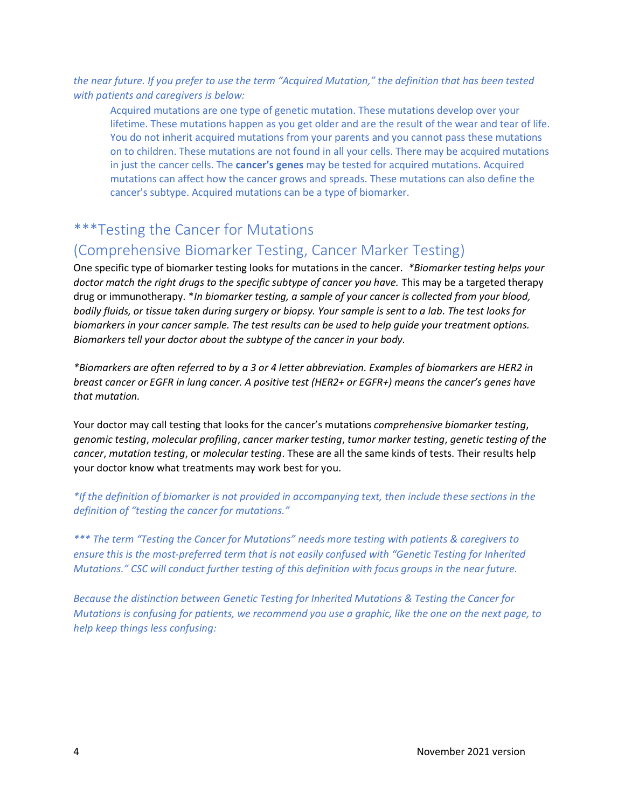*the near future. If you prefer to use the term "Acquired Mutation," the definition that has been tested with patients and caregivers is below:*

Acquired mutations are one type of genetic mutation. These mutations develop over your lifetime. These mutations happen as you get older and are the result of the wear and tear of life. You do not inherit acquired mutations from your parents and you cannot pass these mutations on to children. These mutations are not found in all your cells. There may be acquired mutations in just the cancer cells. The **cancer's genes** may be tested for acquired mutations. Acquired mutations can affect how the cancer grows and spreads. These mutations can also define the cancer's subtype. Acquired mutations can be a type of biomarker.

### \*\*\*Testing the Cancer for Mutations

### (Comprehensive Biomarker Testing, Cancer Marker Testing)

One specific type of biomarker testing looks for mutations in the cancer. *\*Biomarker testing helps your doctor match the right drugs to the specific subtype of cancer you have.* This may be a targeted therapy drug or immunotherapy. \**In biomarker testing, a sample of your cancer is collected from your blood, bodily fluids, or tissue taken during surgery or biopsy. Your sample is sent to a lab. The test looks for biomarkers in your cancer sample. The test results can be used to help guide your treatment options. Biomarkers tell your doctor about the subtype of the cancer in your body.*

*\*Biomarkers are often referred to by a 3 or 4 letter abbreviation. Examples of biomarkers are HER2 in breast cancer or EGFR in lung cancer. A positive test (HER2+ or EGFR+) means the cancer's genes have that mutation.*

Your doctor may call testing that looks for the cancer's mutations *comprehensive biomarker testing*, *genomic testing*, *molecular profiling*, *cancer marker testing*, *tumor marker testing*, *genetic testing of the cancer*, *mutation testing*, or *molecular testing*. These are all the same kinds of tests. Their results help your doctor know what treatments may work best for you.

*\*If the definition of biomarker is not provided in accompanying text, then include these sections in the definition of "testing the cancer for mutations."*

*\*\*\* The term "Testing the Cancer for Mutations" needs more testing with patients & caregivers to ensure this is the most-preferred term that is not easily confused with "Genetic Testing for Inherited Mutations." CSC will conduct further testing of this definition with focus groups in the near future.* 

*Because the distinction between Genetic Testing for Inherited Mutations & Testing the Cancer for Mutations is confusing for patients, we recommend you use a graphic, like the one on the next page, to help keep things less confusing:*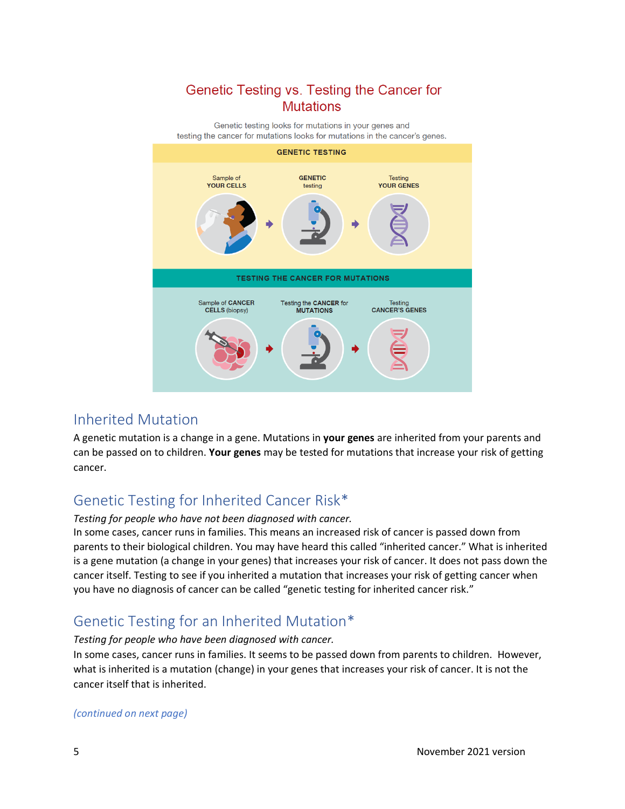### Genetic Testing vs. Testing the Cancer for **Mutations**

Genetic testing looks for mutations in your genes and testing the cancer for mutations looks for mutations in the cancer's genes.



### Inherited Mutation

A genetic mutation is a change in a gene. Mutations in **your genes** are inherited from your parents and can be passed on to children. **Your genes** may be tested for mutations that increase your risk of getting cancer.

# Genetic Testing for Inherited Cancer Risk\*

#### *Testing for people who have not been diagnosed with cancer.*

In some cases, cancer runs in families. This means an increased risk of cancer is passed down from parents to their biological children. You may have heard this called "inherited cancer." What is inherited is a gene mutation (a change in your genes) that increases your risk of cancer. It does not pass down the cancer itself. Testing to see if you inherited a mutation that increases your risk of getting cancer when you have no diagnosis of cancer can be called "genetic testing for inherited cancer risk."

# Genetic Testing for an Inherited Mutation\*

#### *Testing for people who have been diagnosed with cancer.*

In some cases, cancer runs in families. It seems to be passed down from parents to children. However, what is inherited is a mutation (change) in your genes that increases your risk of cancer. It is not the cancer itself that is inherited.

#### *(continued on next page)*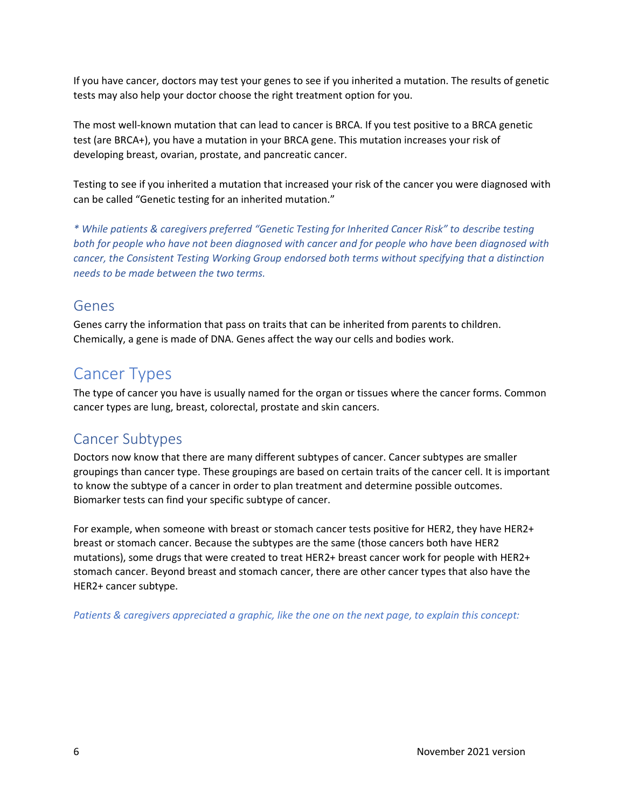If you have cancer, doctors may test your genes to see if you inherited a mutation. The results of genetic tests may also help your doctor choose the right treatment option for you.

The most well-known mutation that can lead to cancer is BRCA. If you test positive to a BRCA genetic test (are BRCA+), you have a mutation in your BRCA gene. This mutation increases your risk of developing breast, ovarian, prostate, and pancreatic cancer.

Testing to see if you inherited a mutation that increased your risk of the cancer you were diagnosed with can be called "Genetic testing for an inherited mutation."

*\* While patients & caregivers preferred "Genetic Testing for Inherited Cancer Risk" to describe testing both for people who have not been diagnosed with cancer and for people who have been diagnosed with cancer, the Consistent Testing Working Group endorsed both terms without specifying that a distinction needs to be made between the two terms.*

#### Genes

Genes carry the information that pass on traits that can be inherited from parents to children. Chemically, a gene is made of DNA. Genes affect the way our cells and bodies work.

# Cancer Types

The type of cancer you have is usually named for the organ or tissues where the cancer forms. Common cancer types are lung, breast, colorectal, prostate and skin cancers.

# Cancer Subtypes

Doctors now know that there are many different subtypes of cancer. Cancer subtypes are smaller groupings than cancer type. These groupings are based on certain traits of the cancer cell. It is important to know the subtype of a cancer in order to plan treatment and determine possible outcomes. Biomarker tests can find your specific subtype of cancer.

For example, when someone with breast or stomach cancer tests positive for HER2, they have HER2+ breast or stomach cancer. Because the subtypes are the same (those cancers both have HER2 mutations), some drugs that were created to treat HER2+ breast cancer work for people with HER2+ stomach cancer. Beyond breast and stomach cancer, there are other cancer types that also have the HER2+ cancer subtype.

*Patients & caregivers appreciated a graphic, like the one on the next page, to explain this concept:*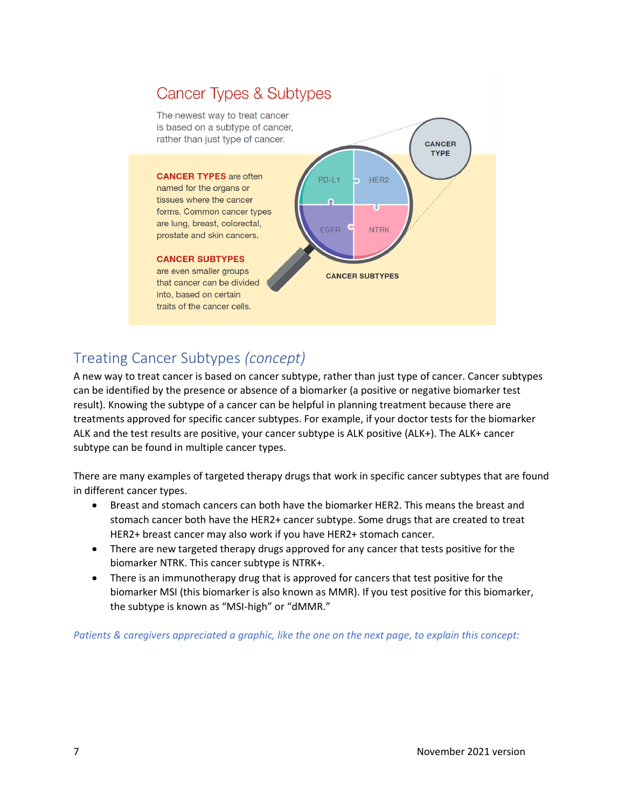

# Treating Cancer Subtypes *(concept)*

A new way to treat cancer is based on cancer subtype, rather than just type of cancer. Cancer subtypes can be identified by the presence or absence of a biomarker (a positive or negative biomarker test result). Knowing the subtype of a cancer can be helpful in planning treatment because there are treatments approved for specific cancer subtypes. For example, if your doctor tests for the biomarker ALK and the test results are positive, your cancer subtype is ALK positive (ALK+). The ALK+ cancer subtype can be found in multiple cancer types.

There are many examples of targeted therapy drugs that work in specific cancer subtypes that are found in different cancer types.

- Breast and stomach cancers can both have the biomarker HER2. This means the breast and stomach cancer both have the HER2+ cancer subtype. Some drugs that are created to treat HER2+ breast cancer may also work if you have HER2+ stomach cancer.
- There are new targeted therapy drugs approved for any cancer that tests positive for the biomarker NTRK. This cancer subtype is NTRK+.
- There is an immunotherapy drug that is approved for cancers that test positive for the biomarker MSI (this biomarker is also known as MMR). If you test positive for this biomarker, the subtype is known as "MSI-high" or "dMMR."

*Patients & caregivers appreciated a graphic, like the one on the next page, to explain this concept:*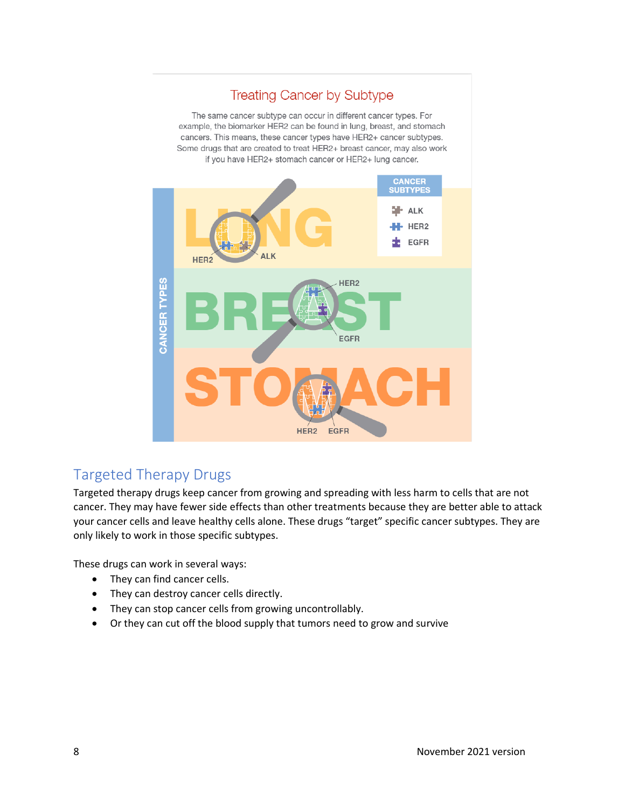# **Treating Cancer by Subtype**

The same cancer subtype can occur in different cancer types. For example, the biomarker HER2 can be found in lung, breast, and stomach cancers. This means, these cancer types have HER2+ cancer subtypes. Some drugs that are created to treat HER2+ breast cancer, may also work if you have HER2+ stomach cancer or HER2+ lung cancer.



# Targeted Therapy Drugs

Targeted therapy drugs keep cancer from growing and spreading with less harm to cells that are not cancer. They may have fewer side effects than other treatments because they are better able to attack your cancer cells and leave healthy cells alone. These drugs "target" specific cancer subtypes. They are only likely to work in those specific subtypes.

These drugs can work in several ways:

- They can find cancer cells.
- They can destroy cancer cells directly.
- They can stop cancer cells from growing uncontrollably.
- Or they can cut off the blood supply that tumors need to grow and survive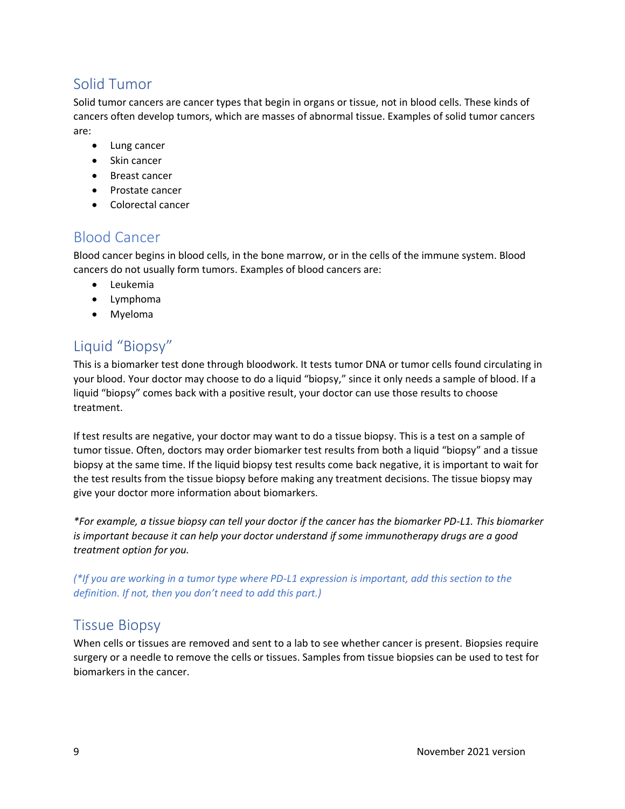# Solid Tumor

Solid tumor cancers are cancer types that begin in organs or tissue, not in blood cells. These kinds of cancers often develop tumors, which are masses of abnormal tissue. Examples of solid tumor cancers are:

- Lung cancer
- Skin cancer
- Breast cancer
- Prostate cancer
- Colorectal cancer

# Blood Cancer

Blood cancer begins in blood cells, in the bone marrow, or in the cells of the immune system. Blood cancers do not usually form tumors. Examples of blood cancers are:

- Leukemia
- Lymphoma
- Myeloma

# Liquid "Biopsy"

This is a biomarker test done through bloodwork. It tests tumor DNA or tumor cells found circulating in your blood. Your doctor may choose to do a liquid "biopsy," since it only needs a sample of blood. If a liquid "biopsy" comes back with a positive result, your doctor can use those results to choose treatment.

If test results are negative, your doctor may want to do a tissue biopsy. This is a test on a sample of tumor tissue. Often, doctors may order biomarker test results from both a liquid "biopsy" and a tissue biopsy at the same time. If the liquid biopsy test results come back negative, it is important to wait for the test results from the tissue biopsy before making any treatment decisions. The tissue biopsy may give your doctor more information about biomarkers.

*\*For example, a tissue biopsy can tell your doctor if the cancer has the biomarker PD-L1. This biomarker is important because it can help your doctor understand if some immunotherapy drugs are a good treatment option for you.*

*(\*If you are working in a tumor type where PD-L1 expression is important, add this section to the definition. If not, then you don't need to add this part.)*

### Tissue Biopsy

When cells or tissues are removed and sent to a lab to see whether cancer is present. Biopsies require surgery or a needle to remove the cells or tissues. Samples from tissue biopsies can be used to test for biomarkers in the cancer.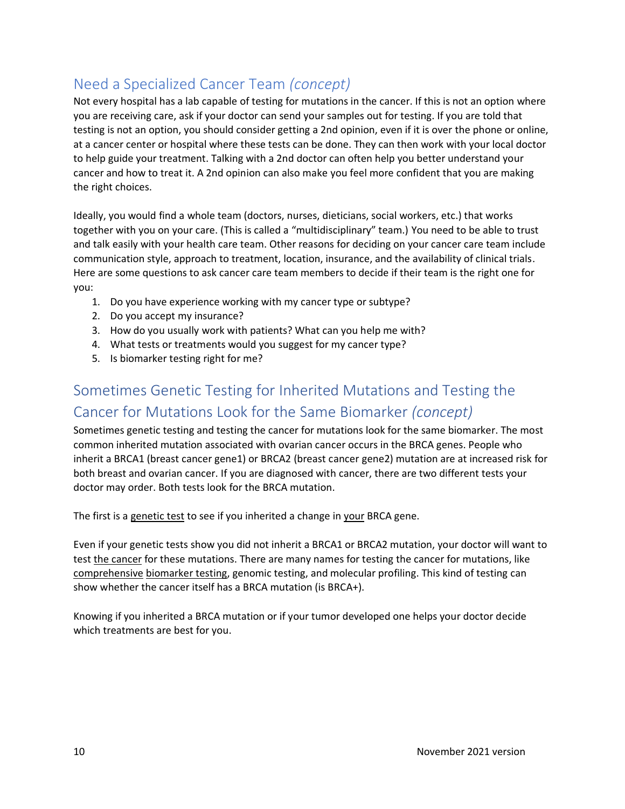# Need a Specialized Cancer Team *(concept)*

Not every hospital has a lab capable of testing for mutations in the cancer. If this is not an option where you are receiving care, ask if your doctor can send your samples out for testing. If you are told that testing is not an option, you should consider getting a 2nd opinion, even if it is over the phone or online, at a cancer center or hospital where these tests can be done. They can then work with your local doctor to help guide your treatment. Talking with a 2nd doctor can often help you better understand your cancer and how to treat it. A 2nd opinion can also make you feel more confident that you are making the right choices.

Ideally, you would find a whole team (doctors, nurses, dieticians, social workers, etc.) that works together with you on your care. (This is called a "multidisciplinary" team.) You need to be able to trust and talk easily with your health care team. Other reasons for deciding on your cancer care team include communication style, approach to treatment, location, insurance, and the availability of clinical trials. Here are some questions to ask cancer care team members to decide if their team is the right one for you:

- 1. Do you have experience working with my cancer type or subtype?
- 2. Do you accept my insurance?
- 3. How do you usually work with patients? What can you help me with?
- 4. What tests or treatments would you suggest for my cancer type?
- 5. Is biomarker testing right for me?

# Sometimes Genetic Testing for Inherited Mutations and Testing the Cancer for Mutations Look for the Same Biomarker *(concept)*

Sometimes genetic testing and testing the cancer for mutations look for the same biomarker. The most common inherited mutation associated with ovarian cancer occurs in the BRCA genes. People who inherit a BRCA1 (breast cancer gene1) or BRCA2 (breast cancer gene2) mutation are at increased risk for both breast and ovarian cancer. If you are diagnosed with cancer, there are two different tests your doctor may order. Both tests look for the BRCA mutation.

The first is a genetic test to see if you inherited a change in your BRCA gene.

Even if your genetic tests show you did not inherit a BRCA1 or BRCA2 mutation, your doctor will want to test the cancer for these mutations. There are many names for testing the cancer for mutations, like comprehensive biomarker testing, genomic testing, and molecular profiling. This kind of testing can show whether the cancer itself has a BRCA mutation (is BRCA+).

Knowing if you inherited a BRCA mutation or if your tumor developed one helps your doctor decide which treatments are best for you.